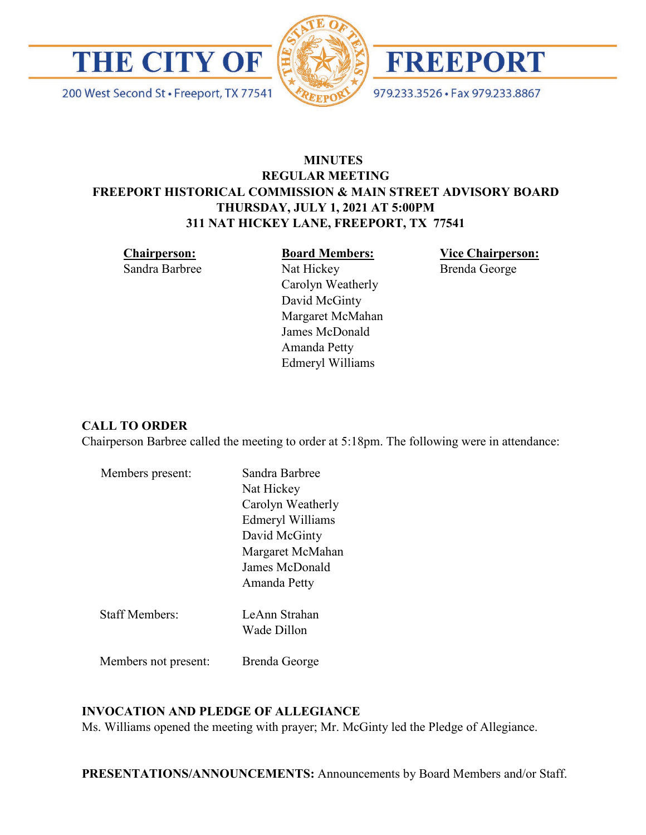

200 West Second St · Freeport, TX 77541





979.233.3526 · Fax 979.233.8867

## **MINUTES REGULAR MEETING FREEPORT HISTORICAL COMMISSION & MAIN STREET ADVISORY BOARD THURSDAY, JULY 1, 2021 AT 5:00PM 311 NAT HICKEY LANE, FREEPORT, TX 77541**

**Chairperson:**

Sandra Barbree

**Board Members:** Nat Hickey Carolyn Weatherly David McGinty Margaret McMahan James McDonald Amanda Petty Edmeryl Williams

**Vice Chairperson:** Brenda George

## **CALL TO ORDER**

Chairperson Barbree called the meeting to order at 5:18pm. The following were in attendance:

| Members present:      | Sandra Barbree    |
|-----------------------|-------------------|
|                       | Nat Hickey        |
|                       | Carolyn Weatherly |
|                       | Edmeryl Williams  |
|                       | David McGinty     |
|                       | Margaret McMahan  |
|                       | James McDonald    |
|                       | Amanda Petty      |
| <b>Staff Members:</b> | LeAnn Strahan     |
|                       | Wade Dillon       |
|                       |                   |

Members not present: Brenda George

## **INVOCATION AND PLEDGE OF ALLEGIANCE**

Ms. Williams opened the meeting with prayer; Mr. McGinty led the Pledge of Allegiance.

**PRESENTATIONS/ANNOUNCEMENTS:** Announcements by Board Members and/or Staff.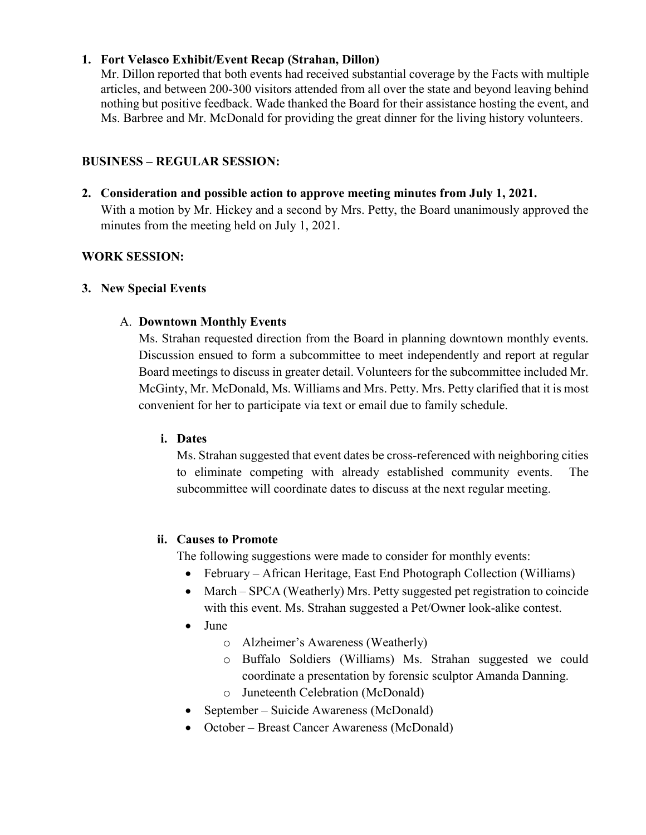## **1. Fort Velasco Exhibit/Event Recap (Strahan, Dillon)**

Mr. Dillon reported that both events had received substantial coverage by the Facts with multiple articles, and between 200-300 visitors attended from all over the state and beyond leaving behind nothing but positive feedback. Wade thanked the Board for their assistance hosting the event, and Ms. Barbree and Mr. McDonald for providing the great dinner for the living history volunteers.

### **BUSINESS – REGULAR SESSION:**

**2. Consideration and possible action to approve meeting minutes from July 1, 2021.** 

With a motion by Mr. Hickey and a second by Mrs. Petty, the Board unanimously approved the minutes from the meeting held on July 1, 2021.

## **WORK SESSION:**

### **3. New Special Events**

### A. **Downtown Monthly Events**

Ms. Strahan requested direction from the Board in planning downtown monthly events. Discussion ensued to form a subcommittee to meet independently and report at regular Board meetings to discuss in greater detail. Volunteers for the subcommittee included Mr. McGinty, Mr. McDonald, Ms. Williams and Mrs. Petty. Mrs. Petty clarified that it is most convenient for her to participate via text or email due to family schedule.

#### **i. Dates**

Ms. Strahan suggested that event dates be cross-referenced with neighboring cities to eliminate competing with already established community events. The subcommittee will coordinate dates to discuss at the next regular meeting.

## **ii. Causes to Promote**

The following suggestions were made to consider for monthly events:

- February African Heritage, East End Photograph Collection (Williams)
- March SPCA (Weatherly) Mrs. Petty suggested pet registration to coincide with this event. Ms. Strahan suggested a Pet/Owner look-alike contest.
- June
	- o Alzheimer's Awareness (Weatherly)
	- o Buffalo Soldiers (Williams) Ms. Strahan suggested we could coordinate a presentation by forensic sculptor Amanda Danning.
	- o Juneteenth Celebration (McDonald)
- September Suicide Awareness (McDonald)
- October Breast Cancer Awareness (McDonald)